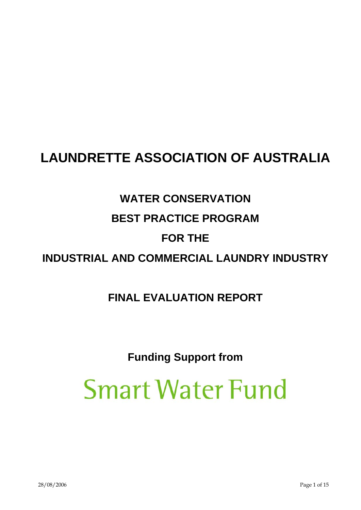# **LAUNDRETTE ASSOCIATION OF AUSTRALIA**

# **WATER CONSERVATION**

# **BEST PRACTICE PROGRAM**

# **FOR THE**

# **INDUSTRIAL AND COMMERCIAL LAUNDRY INDUSTRY**

# **FINAL EVALUATION REPORT**

# **Funding Support from**

# **Smart Water Fund**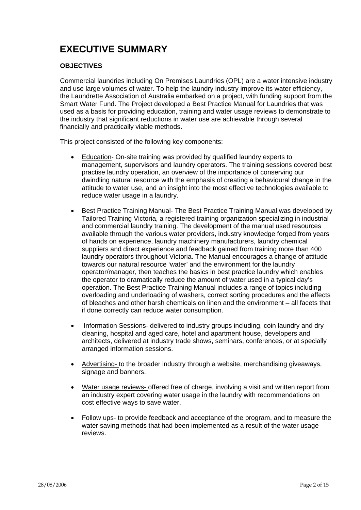# **EXECUTIVE SUMMARY**

# **OBJECTIVES**

Commercial laundries including On Premises Laundries (OPL) are a water intensive industry and use large volumes of water. To help the laundry industry improve its water efficiency, the Laundrette Association of Australia embarked on a project, with funding support from the Smart Water Fund. The Project developed a Best Practice Manual for Laundries that was used as a basis for providing education, training and water usage reviews to demonstrate to the industry that significant reductions in water use are achievable through several financially and practically viable methods.

This project consisted of the following key components:

- Education- On-site training was provided by qualified laundry experts to management, supervisors and laundry operators. The training sessions covered best practise laundry operation, an overview of the importance of conserving our dwindling natural resource with the emphasis of creating a behavioural change in the attitude to water use, and an insight into the most effective technologies available to reduce water usage in a laundry.
- Best Practice Training Manual- The Best Practice Training Manual was developed by Tailored Training Victoria, a registered training organization specializing in industrial and commercial laundry training. The development of the manual used resources available through the various water providers, industry knowledge forged from years of hands on experience, laundry machinery manufacturers, laundry chemical suppliers and direct experience and feedback gained from training more than 400 laundry operators throughout Victoria. The Manual encourages a change of attitude towards our natural resource 'water' and the environment for the laundry operator/manager, then teaches the basics in best practice laundry which enables the operator to dramatically reduce the amount of water used in a typical day's operation. The Best Practice Training Manual includes a range of topics including overloading and underloading of washers, correct sorting procedures and the affects of bleaches and other harsh chemicals on linen and the environment – all facets that if done correctly can reduce water consumption.
- Information Sessions- delivered to industry groups including, coin laundry and dry cleaning, hospital and aged care, hotel and apartment house, developers and architects, delivered at industry trade shows, seminars, conferences, or at specially arranged information sessions.
- Advertising- to the broader industry through a website, merchandising giveaways, signage and banners.
- Water usage reviews- offered free of charge, involving a visit and written report from an industry expert covering water usage in the laundry with recommendations on cost effective ways to save water.
- Follow ups- to provide feedback and acceptance of the program, and to measure the water saving methods that had been implemented as a result of the water usage reviews.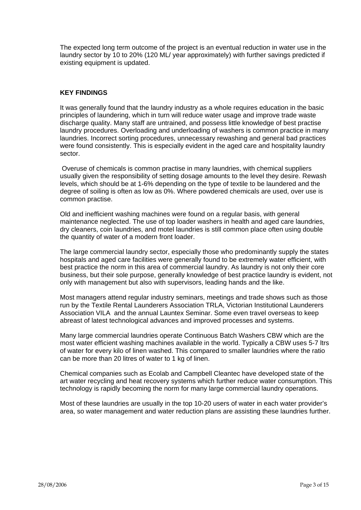The expected long term outcome of the project is an eventual reduction in water use in the laundry sector by 10 to 20% (120 ML/ year approximately) with further savings predicted if existing equipment is updated.

# **KEY FINDINGS**

It was generally found that the laundry industry as a whole requires education in the basic principles of laundering, which in turn will reduce water usage and improve trade waste discharge quality. Many staff are untrained, and possess little knowledge of best practise laundry procedures. Overloading and underloading of washers is common practice in many laundries. Incorrect sorting procedures, unnecessary rewashing and general bad practices were found consistently. This is especially evident in the aged care and hospitality laundry sector.

 Overuse of chemicals is common practise in many laundries, with chemical suppliers usually given the responsibility of setting dosage amounts to the level they desire. Rewash levels, which should be at 1-6% depending on the type of textile to be laundered and the degree of soiling is often as low as 0%. Where powdered chemicals are used, over use is common practise.

Old and inefficient washing machines were found on a regular basis, with general maintenance neglected. The use of top loader washers in health and aged care laundries, dry cleaners, coin laundries, and motel laundries is still common place often using double the quantity of water of a modern front loader.

The large commercial laundry sector, especially those who predominantly supply the states hospitals and aged care facilities were generally found to be extremely water efficient, with best practice the norm in this area of commercial laundry. As laundry is not only their core business, but their sole purpose, generally knowledge of best practice laundry is evident, not only with management but also with supervisors, leading hands and the like.

Most managers attend regular industry seminars, meetings and trade shows such as those run by the Textile Rental Launderers Association TRLA, Victorian Institutional Launderers Association VILA and the annual Launtex Seminar. Some even travel overseas to keep abreast of latest technological advances and improved processes and systems.

Many large commercial laundries operate Continuous Batch Washers CBW which are the most water efficient washing machines available in the world. Typically a CBW uses 5-7 ltrs of water for every kilo of linen washed. This compared to smaller laundries where the ratio can be more than 20 litres of water to 1 kg of linen.

Chemical companies such as Ecolab and Campbell Cleantec have developed state of the art water recycling and heat recovery systems which further reduce water consumption. This technology is rapidly becoming the norm for many large commercial laundry operations.

Most of these laundries are usually in the top 10-20 users of water in each water provider's area, so water management and water reduction plans are assisting these laundries further.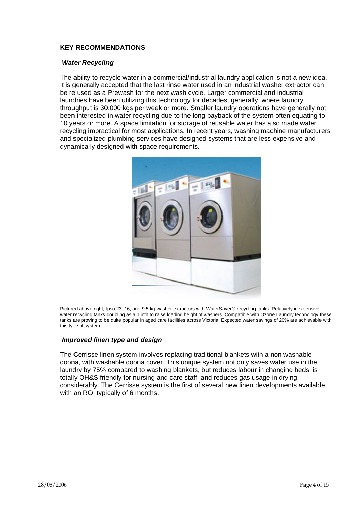# **KEY RECOMMENDATIONS**

## *Water Recycling*

The ability to recycle water in a commercial/industrial laundry application is not a new idea. It is generally accepted that the last rinse water used in an industrial washer extractor can be re used as a Prewash for the next wash cycle. Larger commercial and industrial laundries have been utilizing this technology for decades, generally, where laundry throughput is 30,000 kgs per week or more. Smaller laundry operations have generally not been interested in water recycling due to the long payback of the system often equating to 10 years or more. A space limitation for storage of reusable water has also made water recycling impractical for most applications. In recent years, washing machine manufacturers and specialized plumbing services have designed systems that are less expensive and dynamically designed with space requirements.



Pictured above right, Ipso 23, 16, and 9.5 kg washer extractors with WaterSaver® recycling tanks. Relatively inexpensive water recycling tanks doubling as a plinth to raise loading height of washers. Compatible with Ozone Laundry technology these tanks are proving to be quite popular in aged care facilities across Victoria. Expected water savings of 20% are achievable with this type of system.

# *Improved linen type and design*

The Cerrisse linen system involves replacing traditional blankets with a non washable doona, with washable doona cover. This unique system not only saves water use in the laundry by 75% compared to washing blankets, but reduces labour in changing beds, is totally OH&S friendly for nursing and care staff, and reduces gas usage in drying considerably. The Cerrisse system is the first of several new linen developments available with an ROI typically of 6 months.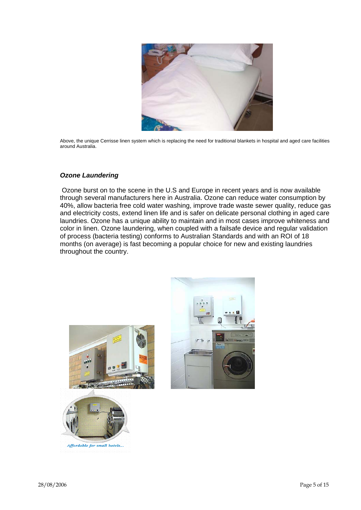

Above, the unique Cerrisse linen system which is replacing the need for traditional blankets in hospital and aged care facilities around Australia.

# *Ozone Laundering*

Ozone burst on to the scene in the U.S and Europe in recent years and is now available through several manufacturers here in Australia. Ozone can reduce water consumption by 40%, allow bacteria free cold water washing, improve trade waste sewer quality, reduce gas and electricity costs, extend linen life and is safer on delicate personal clothing in aged care laundries. Ozone has a unique ability to maintain and in most cases improve whiteness and color in linen. Ozone laundering, when coupled with a failsafe device and regular validation of process (bacteria testing) conforms to Australian Standards and with an ROI of 18 months (on average) is fast becoming a popular choice for new and existing laundries throughout the country.





Affordable for small hotels...

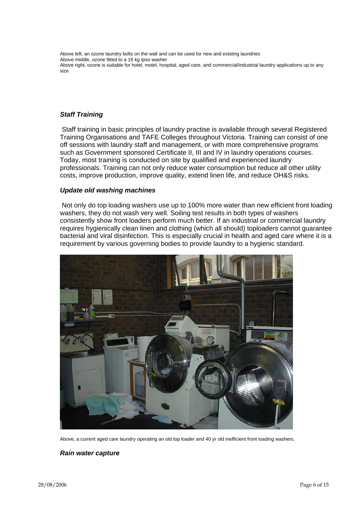Above left, an ozone laundry bolts on the wall and can be used for new and existing laundries Above middle, ozone fitted to a 16 kg Ipso washer Above right, ozone is suitable for hotel, motel, hospital, aged care, and commercial/industrial laundry applications up to any size.

## *Staff Training*

Staff training in basic principles of laundry practise is available through several Registered Training Organisations and TAFE Colleges throughout Victoria. Training can consist of one off sessions with laundry staff and management, or with more comprehensive programs such as Government sponsored Certificate II, III and IV in laundry operations courses. Today, most training is conducted on site by qualified and experienced laundry professionals. Training can not only reduce water consumption but reduce all other utility costs, improve production, improve quality, extend linen life, and reduce OH&S risks.

#### *Update old washing machines*

Not only do top loading washers use up to 100% more water than new efficient front loading washers, they do not wash very well. Soiling test results in both types of washers consistently show front loaders perform much better. If an industrial or commercial laundry requires hygienically clean linen and clothing (which all should) toploaders cannot guarantee bacterial and viral disinfection. This is especially crucial in health and aged care where it is a requirement by various governing bodies to provide laundry to a hygienic standard.



Above, a current aged care laundry operating an old top loader and 40 yr old inefficient front loading washers.

*Rain water capture*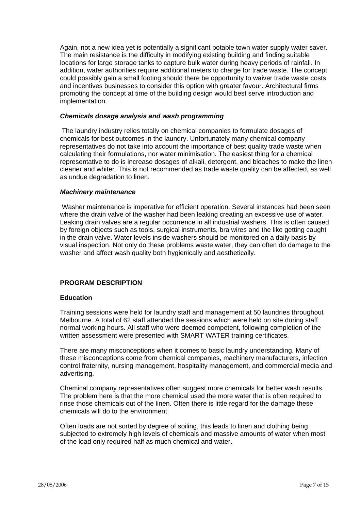Again, not a new idea yet is potentially a significant potable town water supply water saver. The main resistance is the difficulty in modifying existing building and finding suitable locations for large storage tanks to capture bulk water during heavy periods of rainfall. In addition, water authorities require additional meters to charge for trade waste. The concept could possibly gain a small footing should there be opportunity to waiver trade waste costs and incentives businesses to consider this option with greater favour. Architectural firms promoting the concept at time of the building design would best serve introduction and implementation.

### *Chemicals dosage analysis and wash programming*

The laundry industry relies totally on chemical companies to formulate dosages of chemicals for best outcomes in the laundry. Unfortunately many chemical company representatives do not take into account the importance of best quality trade waste when calculating their formulations, nor water minimisation. The easiest thing for a chemical representative to do is increase dosages of alkali, detergent, and bleaches to make the linen cleaner and whiter. This is not recommended as trade waste quality can be affected, as well as undue degradation to linen.

## *Machinery maintenance*

Washer maintenance is imperative for efficient operation. Several instances had been seen where the drain valve of the washer had been leaking creating an excessive use of water. Leaking drain valves are a regular occurrence in all industrial washers. This is often caused by foreign objects such as tools, surgical instruments, bra wires and the like getting caught in the drain valve. Water levels inside washers should be monitored on a daily basis by visual inspection. Not only do these problems waste water, they can often do damage to the washer and affect wash quality both hygienically and aesthetically.

# **PROGRAM DESCRIPTION**

#### **Education**

Training sessions were held for laundry staff and management at 50 laundries throughout Melbourne. A total of 62 staff attended the sessions which were held on site during staff normal working hours. All staff who were deemed competent, following completion of the written assessment were presented with SMART WATER training certificates.

There are many misconceptions when it comes to basic laundry understanding. Many of these misconceptions come from chemical companies, machinery manufacturers, infection control fraternity, nursing management, hospitality management, and commercial media and advertising.

Chemical company representatives often suggest more chemicals for better wash results. The problem here is that the more chemical used the more water that is often required to rinse those chemicals out of the linen. Often there is little regard for the damage these chemicals will do to the environment.

Often loads are not sorted by degree of soiling, this leads to linen and clothing being subjected to extremely high levels of chemicals and massive amounts of water when most of the load only required half as much chemical and water.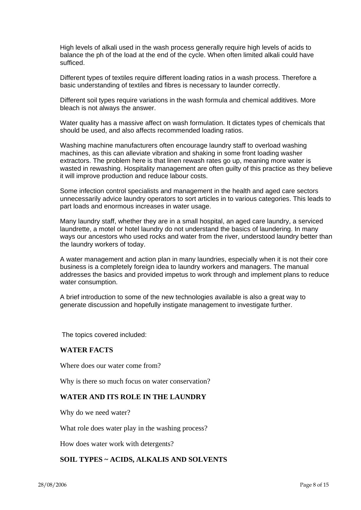High levels of alkali used in the wash process generally require high levels of acids to balance the ph of the load at the end of the cycle. When often limited alkali could have sufficed.

Different types of textiles require different loading ratios in a wash process. Therefore a basic understanding of textiles and fibres is necessary to launder correctly.

Different soil types require variations in the wash formula and chemical additives. More bleach is not always the answer.

Water quality has a massive affect on wash formulation. It dictates types of chemicals that should be used, and also affects recommended loading ratios.

Washing machine manufacturers often encourage laundry staff to overload washing machines, as this can alleviate vibration and shaking in some front loading washer extractors. The problem here is that linen rewash rates go up, meaning more water is wasted in rewashing. Hospitality management are often guilty of this practice as they believe it will improve production and reduce labour costs.

Some infection control specialists and management in the health and aged care sectors unnecessarily advice laundry operators to sort articles in to various categories. This leads to part loads and enormous increases in water usage.

Many laundry staff, whether they are in a small hospital, an aged care laundry, a serviced laundrette, a motel or hotel laundry do not understand the basics of laundering. In many ways our ancestors who used rocks and water from the river, understood laundry better than the laundry workers of today.

A water management and action plan in many laundries, especially when it is not their core business is a completely foreign idea to laundry workers and managers. The manual addresses the basics and provided impetus to work through and implement plans to reduce water consumption.

A brief introduction to some of the new technologies available is also a great way to generate discussion and hopefully instigate management to investigate further.

The topics covered included:

## **WATER FACTS**

Where does our water come from?

Why is there so much focus on water conservation?

## **WATER AND ITS ROLE IN THE LAUNDRY**

Why do we need water?

What role does water play in the washing process?

How does water work with detergents?

# **SOIL TYPES ~ ACIDS, ALKALIS AND SOLVENTS**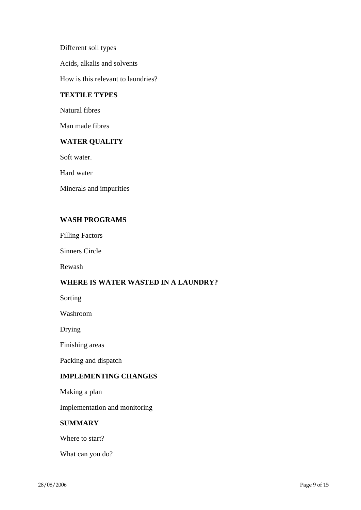Different soil types

Acids, alkalis and solvents

How is this relevant to laundries?

# **TEXTILE TYPES**

Natural fibres

Man made fibres

# **WATER QUALITY**

Soft water.

Hard water

Minerals and impurities

# **WASH PROGRAMS**

Filling Factors

Sinners Circle

Rewash

# **WHERE IS WATER WASTED IN A LAUNDRY?**

Sorting

Washroom

Drying

Finishing areas

Packing and dispatch

# **IMPLEMENTING CHANGES**

Making a plan

Implementation and monitoring

# **SUMMARY**

Where to start?

What can you do?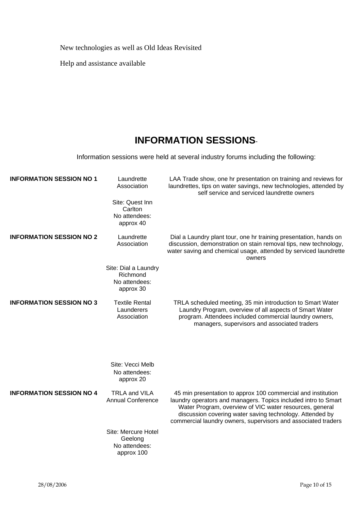New technologies as well as Old Ideas Revisited

Help and assistance available

# **INFORMATION SESSIONS**-

Information sessions were held at several industry forums including the following:

| <b>INFORMATION SESSION NO 1</b> | Laundrette<br>Association<br>Site: Quest Inn                   | LAA Trade show, one hr presentation on training and reviews for<br>laundrettes, tips on water savings, new technologies, attended by<br>self service and serviced laundrette owners                                                                                                                                    |
|---------------------------------|----------------------------------------------------------------|------------------------------------------------------------------------------------------------------------------------------------------------------------------------------------------------------------------------------------------------------------------------------------------------------------------------|
|                                 | Carlton<br>No attendees:<br>approx 40                          |                                                                                                                                                                                                                                                                                                                        |
| <b>INFORMATION SESSION NO 2</b> | Laundrette<br>Association                                      | Dial a Laundry plant tour, one hr training presentation, hands on<br>discussion, demonstration on stain removal tips, new technology,<br>water saving and chemical usage, attended by serviced laundrette<br>owners                                                                                                    |
|                                 | Site: Dial a Laundry<br>Richmond<br>No attendees:<br>approx 30 |                                                                                                                                                                                                                                                                                                                        |
| <b>INFORMATION SESSION NO 3</b> | <b>Textile Rental</b><br>Launderers<br>Association             | TRLA scheduled meeting, 35 min introduction to Smart Water<br>Laundry Program, overview of all aspects of Smart Water<br>program. Attendees included commercial laundry owners,<br>managers, supervisors and associated traders                                                                                        |
|                                 | Site: Vecci Melb<br>No attendees:<br>approx 20                 |                                                                                                                                                                                                                                                                                                                        |
| <b>INFORMATION SESSION NO 4</b> | <b>TRLA and VILA</b><br><b>Annual Conference</b>               | 45 min presentation to approx 100 commercial and institution<br>laundry operators and managers. Topics included intro to Smart<br>Water Program, overview of VIC water resources, general<br>discussion covering water saving technology. Attended by<br>commercial laundry owners, supervisors and associated traders |
|                                 | Site: Mercure Hotel<br>Geelong<br>No attendees:<br>approx 100  |                                                                                                                                                                                                                                                                                                                        |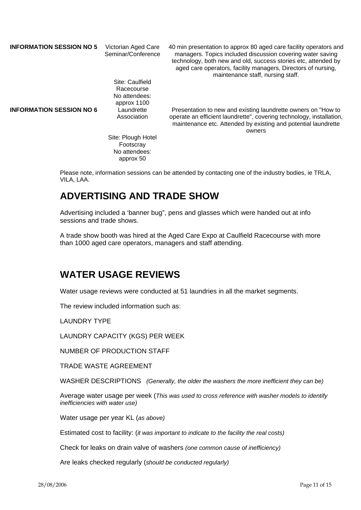| <b>INFORMATION SESSION NO 5</b> | Victorian Aged Care<br>Seminar/Conference                     | 40 min presentation to approx 80 aged care facility operators and<br>managers. Topics included discussion covering water saving<br>technology, both new and old, success stories etc, attended by<br>aged care operators, facility managers, Directors of nursing,<br>maintenance staff, nursing staff. |
|---------------------------------|---------------------------------------------------------------|---------------------------------------------------------------------------------------------------------------------------------------------------------------------------------------------------------------------------------------------------------------------------------------------------------|
|                                 | Site: Caulfield<br>Racecourse<br>No attendees:<br>approx 1100 |                                                                                                                                                                                                                                                                                                         |
| <b>INFORMATION SESSION NO 6</b> | Laundrette<br>Association                                     | Presentation to new and existing laundrette owners on "How to"<br>operate an efficient laundrette", covering technology, installation,<br>maintenance etc. Attended by existing and potential laundrette<br>owners                                                                                      |
|                                 | Site: Plough Hotel<br>Footscray<br>No attendees:<br>approx 50 |                                                                                                                                                                                                                                                                                                         |

Please note, information sessions can be attended by contacting one of the industry bodies, ie TRLA, VILA, LAA.

# **ADVERTISING AND TRADE SHOW**

Advertising included a 'banner bug", pens and glasses which were handed out at info sessions and trade shows.

A trade show booth was hired at the Aged Care Expo at Caulfield Racecourse with more than 1000 aged care operators, managers and staff attending.

# **WATER USAGE REVIEWS**

Water usage reviews were conducted at 51 laundries in all the market segments.

The review included information such as:

LAUNDRY TYPE

LAUNDRY CAPACITY (KGS) PER WEEK

NUMBER OF PRODUCTION STAFF

TRADE WASTE AGREEMENT

WASHER DESCRIPTIONS *(Generally, the older the washers the more inefficient they can be)* 

Average water usage per week (*This was used to cross reference with washer models to identify inefficiencies with water use)* 

Water usage per year KL (*as above)* 

Estimated cost to facility: (*it was important to indicate to the facility the real costs)* 

Check for leaks on drain valve of washers *(one common cause of inefficiency)* 

Are leaks checked regularly (*should be conducted regularly)*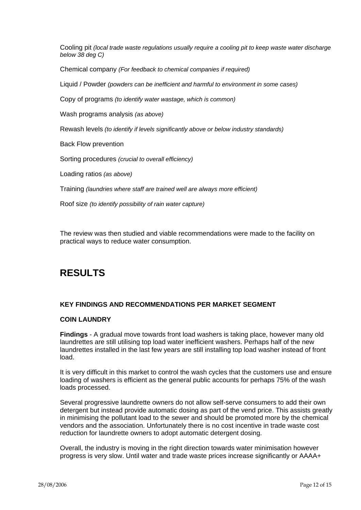Cooling pit *(local trade waste regulations usually require a cooling pit to keep waste water discharge below 38 deg C)* 

Chemical company *(For feedback to chemical companies if required)* 

Liquid / Powder *(powders can be inefficient and harmful to environment in some cases)* 

Copy of programs *(to identify water wastage, which is common)* 

Wash programs analysis *(as above)* 

Rewash levels *(to identify if levels significantly above or below industry standards)* 

Back Flow prevention

Sorting procedures *(crucial to overall efficiency)* 

Loading ratios *(as above)* 

Training *(laundries where staff are trained well are always more efficient)* 

Roof size *(to identify possibility of rain water capture)* 

The review was then studied and viable recommendations were made to the facility on practical ways to reduce water consumption.

# **RESULTS**

#### **KEY FINDINGS AND RECOMMENDATIONS PER MARKET SEGMENT**

#### **COIN LAUNDRY**

**Findings** - A gradual move towards front load washers is taking place, however many old laundrettes are still utilising top load water inefficient washers. Perhaps half of the new laundrettes installed in the last few years are still installing top load washer instead of front load.

It is very difficult in this market to control the wash cycles that the customers use and ensure loading of washers is efficient as the general public accounts for perhaps 75% of the wash loads processed.

Several progressive laundrette owners do not allow self-serve consumers to add their own detergent but instead provide automatic dosing as part of the vend price. This assists greatly in minimising the pollutant load to the sewer and should be promoted more by the chemical vendors and the association. Unfortunately there is no cost incentive in trade waste cost reduction for laundrette owners to adopt automatic detergent dosing.

Overall, the industry is moving in the right direction towards water minimisation however progress is very slow. Until water and trade waste prices increase significantly or AAAA+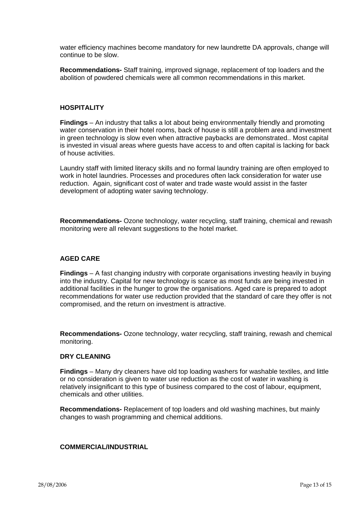water efficiency machines become mandatory for new laundrette DA approvals, change will continue to be slow.

**Recommendations-** Staff training, improved signage, replacement of top loaders and the abolition of powdered chemicals were all common recommendations in this market.

## **HOSPITALITY**

**Findings** – An industry that talks a lot about being environmentally friendly and promoting water conservation in their hotel rooms, back of house is still a problem area and investment in green technology is slow even when attractive paybacks are demonstrated.. Most capital is invested in visual areas where guests have access to and often capital is lacking for back of house activities.

Laundry staff with limited literacy skills and no formal laundry training are often employed to work in hotel laundries. Processes and procedures often lack consideration for water use reduction. Again, significant cost of water and trade waste would assist in the faster development of adopting water saving technology.

**Recommendations-** Ozone technology, water recycling, staff training, chemical and rewash monitoring were all relevant suggestions to the hotel market.

## **AGED CARE**

**Findings** – A fast changing industry with corporate organisations investing heavily in buying into the industry. Capital for new technology is scarce as most funds are being invested in additional facilities in the hunger to grow the organisations. Aged care is prepared to adopt recommendations for water use reduction provided that the standard of care they offer is not compromised, and the return on investment is attractive.

**Recommendations-** Ozone technology, water recycling, staff training, rewash and chemical monitoring.

#### **DRY CLEANING**

**Findings** – Many dry cleaners have old top loading washers for washable textiles, and little or no consideration is given to water use reduction as the cost of water in washing is relatively insignificant to this type of business compared to the cost of labour, equipment, chemicals and other utilities.

**Recommendations-** Replacement of top loaders and old washing machines, but mainly changes to wash programming and chemical additions.

#### **COMMERCIAL/INDUSTRIAL**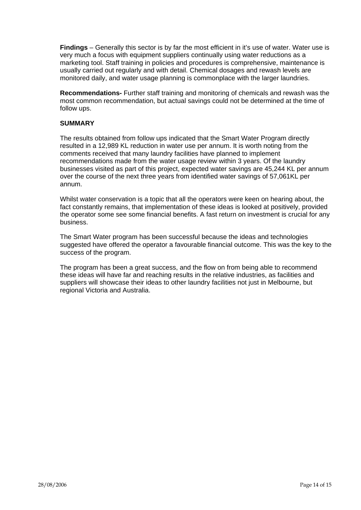**Findings** – Generally this sector is by far the most efficient in it's use of water. Water use is very much a focus with equipment suppliers continually using water reductions as a marketing tool. Staff training in policies and procedures is comprehensive, maintenance is usually carried out regularly and with detail. Chemical dosages and rewash levels are monitored daily, and water usage planning is commonplace with the larger laundries.

**Recommendations-** Further staff training and monitoring of chemicals and rewash was the most common recommendation, but actual savings could not be determined at the time of follow ups.

# **SUMMARY**

The results obtained from follow ups indicated that the Smart Water Program directly resulted in a 12,989 KL reduction in water use per annum. It is worth noting from the comments received that many laundry facilities have planned to implement recommendations made from the water usage review within 3 years. Of the laundry businesses visited as part of this project, expected water savings are 45,244 KL per annum over the course of the next three years from identified water savings of 57,061KL per annum.

Whilst water conservation is a topic that all the operators were keen on hearing about, the fact constantly remains, that implementation of these ideas is looked at positively, provided the operator some see some financial benefits. A fast return on investment is crucial for any business.

The Smart Water program has been successful because the ideas and technologies suggested have offered the operator a favourable financial outcome. This was the key to the success of the program.

The program has been a great success, and the flow on from being able to recommend these ideas will have far and reaching results in the relative industries, as facilities and suppliers will showcase their ideas to other laundry facilities not just in Melbourne, but regional Victoria and Australia.